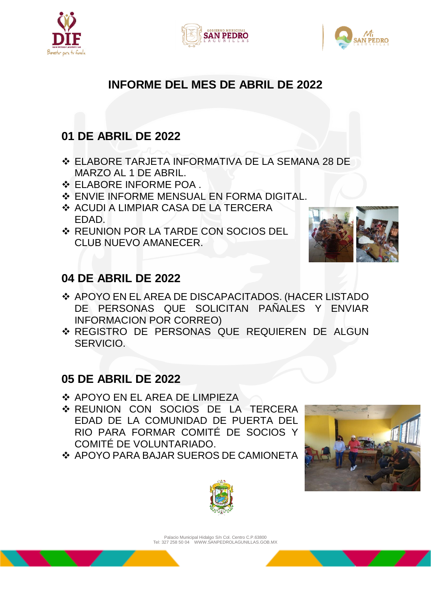





## **INFORME DEL MES DE ABRIL DE 2022**

# **01 DE ABRIL DE 2022**

- ELABORE TARJETA INFORMATIVA DE LA SEMANA 28 DE MARZO AL 1 DE ABRIL.
- ELABORE INFORME POA .
- **ENVIE INFORME MENSUAL EN FORMA DIGITAL.**
- ❖ ACUDI A LIMPIAR CASA DE LA TERCERA EDAD.
- ❖ REUNION POR LA TARDE CON SOCIOS DEL CLUB NUEVO AMANECER.



# **04 DE ABRIL DE 2022**

- ◆ APOYO EN EL AREA DE DISCAPACITADOS. (HACER LISTADO DE PERSONAS QUE SOLICITAN PAÑALES Y ENVIAR INFORMACION POR CORREO)
- REGISTRO DE PERSONAS QUE REQUIEREN DE ALGUN SERVICIO.

## **05 DE ABRIL DE 2022**

- APOYO EN EL AREA DE LIMPIEZA
- **EUNION CON SOCIOS DE LA TERCERA** EDAD DE LA COMUNIDAD DE PUERTA DEL RIO PARA FORMAR COMITÉ DE SOCIOS Y COMITÉ DE VOLUNTARIADO.
- ◆ APOYO PARA BAJAR SUEROS DE CAMIONETA





Palacio Municipal Hidalgo S/n Col. Centro C.P.63800 Tel: 327 258 50 04 WWW.SANPEDROLAGUNILLAS.GOB.MX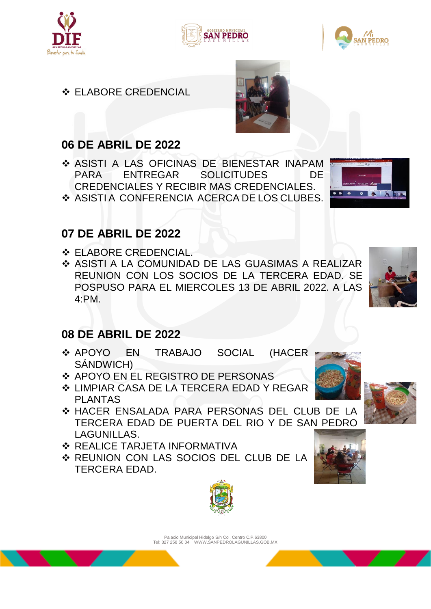





## **❖ ELABORE CREDENCIAL**

# **06 DE ABRIL DE 2022**

- ASISTI A LAS OFICINAS DE BIENESTAR INAPAM PARA ENTREGAR SOLICITUDES DE CREDENCIALES Y RECIBIR MAS CREDENCIALES.
- ◆ ASISTI A CONFERENCIA ACERCA DE LOS CLUBES.

## **07 DE ABRIL DE 2022**

- ELABORE CREDENCIAL.
- ◆ ASISTI A LA COMUNIDAD DE LAS GUASIMAS A REALIZAR REUNION CON LOS SOCIOS DE LA TERCERA EDAD. SE POSPUSO PARA EL MIERCOLES 13 DE ABRIL 2022. A LAS 4:PM.



## **08 DE ABRIL DE 2022**

- ◆ APOYO EN TRABAJO SOCIAL (HACER SÁNDWICH)
- ◆ APOYO EN EL REGISTRO DE PERSONAS
- LIMPIAR CASA DE LA TERCERA EDAD Y REGAR PLANTAS
- HACER ENSALADA PARA PERSONAS DEL CLUB DE LA TERCERA EDAD DE PUERTA DEL RIO Y DE SAN PEDRO LAGUNILLAS.
- ❖ REALICE TARJETA INFORMATIVA
- REUNION CON LAS SOCIOS DEL CLUB DE LA TERCERA EDAD.



Palacio Municipal Hidalgo S/n Col. Centro C.P.63800 Tel: 327 258 50 04 WWW.SANPEDROLAGUNILLAS.GOB.MX







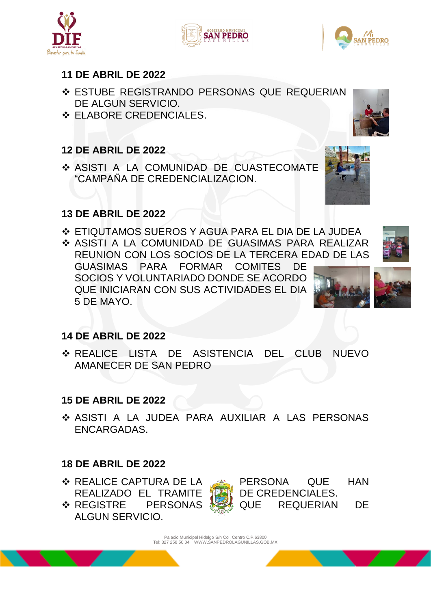#### **11 DE ABRIL DE 2022**

- ESTUBE REGISTRANDO PERSONAS QUE REQUERIAN DE ALGUN SERVICIO.
- ❖ ELABORE CREDENCIALES.

### **12 DE ABRIL DE 2022**

 ASISTI A LA COMUNIDAD DE CUASTECOMATE "CAMPAÑA DE CREDENCIALIZACION.

#### **13 DE ABRIL DE 2022**

 ETIQUTAMOS SUEROS Y AGUA PARA EL DIA DE LA JUDEA ASISTI A LA COMUNIDAD DE GUASIMAS PARA REALIZAR REUNION CON LOS SOCIOS DE LA TERCERA EDAD DE LAS

GUASIMAS PARA FORMAR COMITES DE SOCIOS Y VOLUNTARIADO DONDE SE ACORDO QUE INICIARAN CON SUS ACTIVIDADES EL DIA 5 DE MAYO.

### **14 DE ABRIL DE 2022**

 REALICE LISTA DE ASISTENCIA DEL CLUB NUEVO AMANECER DE SAN PEDRO

#### **15 DE ABRIL DE 2022**

 ASISTI A LA JUDEA PARA AUXILIAR A LAS PERSONAS ENCARGADAS.

### **18 DE ABRIL DE 2022**

- **EXALICE CAPTURA DE LA PERSONA QUE HAN** REALIZADO EL TRAMITE **10.4** DE CREDENCIALES.
- **EXAMPLE PERSONAS DE REQUERIAN DE** ALGUN SERVICIO.















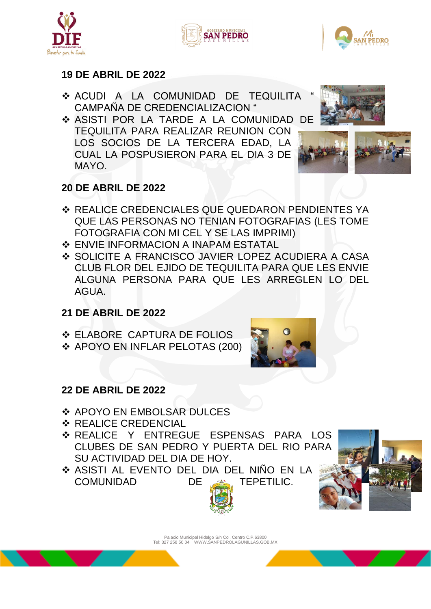





#### **19 DE ABRIL DE 2022**

- **ACUDI A LA COMUNIDAD DE TEQUILITA** CAMPAÑA DE CREDENCIALIZACION "
- ASISTI POR LA TARDE A LA COMUNIDAD DE TEQUILITA PARA REALIZAR REUNION CON LOS SOCIOS DE LA TERCERA EDAD, LA CUAL LA POSPUSIERON PARA EL DIA 3 DE MAYO.





### **20 DE ABRIL DE 2022**

- ❖ REALICE CREDENCIALES QUE QUEDARON PENDIENTES YA QUE LAS PERSONAS NO TENIAN FOTOGRAFIAS (LES TOME FOTOGRAFIA CON MI CEL Y SE LAS IMPRIMI)
- **❖ ENVIE INFORMACION A INAPAM ESTATAL**
- ◆ SOLICITE A FRANCISCO JAVIER LOPEZ ACUDIERA A CASA CLUB FLOR DEL EJIDO DE TEQUILITA PARA QUE LES ENVIE ALGUNA PERSONA PARA QUE LES ARREGLEN LO DEL AGUA.

### **21 DE ABRIL DE 2022**

- **❖ ELABORE CAPTURA DE FOLIOS**
- APOYO EN INFLAR PELOTAS (200)



### **22 DE ABRIL DE 2022**

- ❖ APOYO EN EMBOLSAR DULCES
- **❖ REALICE CREDENCIAL**
- \* REALICE Y ENTREGUE ESPENSAS PARA LOS CLUBES DE SAN PEDRO Y PUERTA DEL RIO PARA SU ACTIVIDAD DEL DIA DE HOY.
- ◆ ASISTI AL EVENTO DEL DIA DEL NIÑO EN LA COMUNIDAD DE AN TEPETILIC.



Palacio Municipal Hidalgo S/n Col. Centro C.P.63800 Tel: 327 258 50 04 WWW.SANPEDROLAGUNILLAS.GOB.MX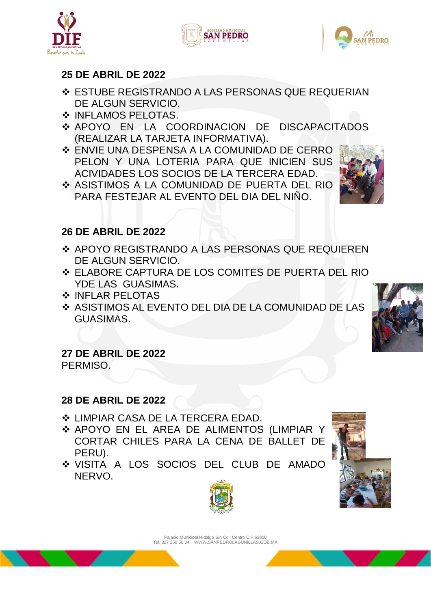

#### **25 DE ABRIL DE 2022**

- ESTUBE REGISTRANDO A LAS PERSONAS QUE REQUERIAN DE ALGUN SERVICIO.
- $\cdot$  **INFLAMOS PELOTAS.**
- APOYO EN LA COORDINACION DE DISCAPACITADOS (REALIZAR LA TARJETA INFORMATIVA).
- ENVIE UNA DESPENSA A LA COMUNIDAD DE CERRO PELON Y UNA LOTERIA PARA QUE INICIEN SUS ACIVIDADES LOS SOCIOS DE LA TERCERA EDAD.
- ASISTIMOS A LA COMUNIDAD DE PUERTA DEL RIO PARA FESTEJAR AL EVENTO DEL DIA DEL NINO.

#### **26 DE ABRIL DE 2022**

- ◆ APOYO REGISTRANDO A LAS PERSONAS QUE REQUIEREN DE ALGUN SERVICIO.
- ELABORE CAPTURA DE LOS COMITES DE PUERTA DEL RIO YDE LAS GUASIMAS.
- ❖ INFLAR PELOTAS
- ASISTIMOS AL EVENTO DEL DIA DE LA COMUNIDAD DE LAS GUASIMAS.

## **27 DE ABRIL DE 2022**

PERMISO.

#### **28 DE ABRIL DE 2022**

- LIMPIAR CASA DE LA TERCERA EDAD.
- APOYO EN EL AREA DE ALIMENTOS (LIMPIAR Y CORTAR CHILES PARA LA CENA DE BALLET DE PERU).
- VISITA A LOS SOCIOS DEL CLUB DE AMADO **NERVO**